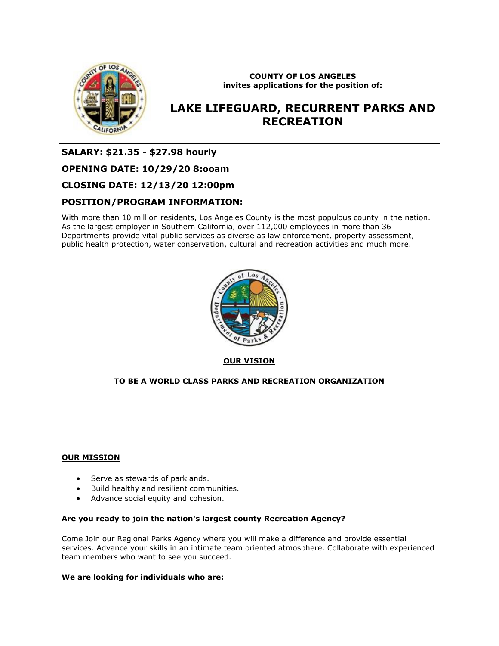

**COUNTY OF LOS ANGELES invites applications for the position of:**

# **LAKE LIFEGUARD, RECURRENT PARKS AND RECREATION**

**SALARY: \$21.35 - \$27.98 hourly**

## **OPENING DATE: 10/29/20 8:ooam**

**CLOSING DATE: 12/13/20 12:00pm**

## **POSITION/PROGRAM INFORMATION:**

With more than 10 million residents, Los Angeles County is the most populous county in the nation. As the largest employer in Southern California, over 112,000 employees in more than 36 Departments provide vital public services as diverse as law enforcement, property assessment, public health protection, water conservation, cultural and recreation activities and much more.



**OUR VISION**

## **TO BE A WORLD CLASS PARKS AND RECREATION ORGANIZATION**

## **OUR MISSION**

- Serve as stewards of parklands.
- Build healthy and resilient communities.
- Advance social equity and cohesion.

## **Are you ready to join the nation's largest county Recreation Agency?**

Come Join our Regional Parks Agency where you will make a difference and provide essential services. Advance your skills in an intimate team oriented atmosphere. Collaborate with experienced team members who want to see you succeed.

## **We are looking for individuals who are:**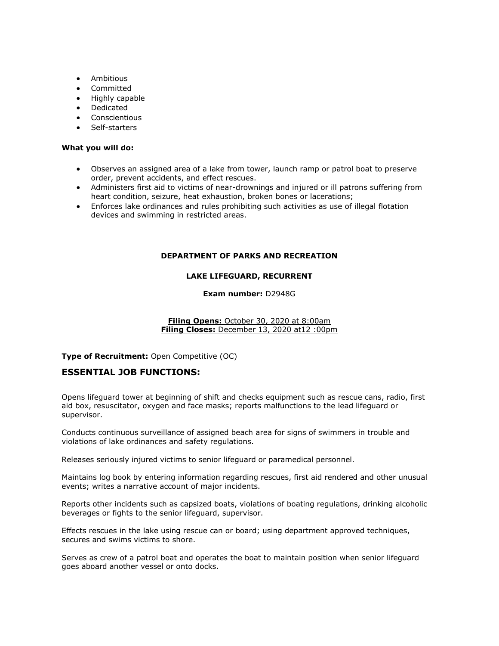- Ambitious
- Committed
- Highly capable
- Dedicated
- **Conscientious**
- Self-starters

## **What you will do:**

- Observes an assigned area of a lake from tower, launch ramp or patrol boat to preserve order, prevent accidents, and effect rescues.
- Administers first aid to victims of near-drownings and injured or ill patrons suffering from heart condition, seizure, heat exhaustion, broken bones or lacerations;
- Enforces lake ordinances and rules prohibiting such activities as use of illegal flotation devices and swimming in restricted areas.

## **DEPARTMENT OF PARKS AND RECREATION**

## **LAKE LIFEGUARD, RECURRENT**

## **Exam number:** D2948G

#### **Filing Opens:** October 30, 2020 at 8:00am **Filing Closes:** December 13, 2020 at12 :00pm

**Type of Recruitment:** Open Competitive (OC)

## **ESSENTIAL JOB FUNCTIONS:**

Opens lifeguard tower at beginning of shift and checks equipment such as rescue cans, radio, first aid box, resuscitator, oxygen and face masks; reports malfunctions to the lead lifeguard or supervisor.

Conducts continuous surveillance of assigned beach area for signs of swimmers in trouble and violations of lake ordinances and safety regulations.

Releases seriously injured victims to senior lifeguard or paramedical personnel.

Maintains log book by entering information regarding rescues, first aid rendered and other unusual events; writes a narrative account of major incidents.

Reports other incidents such as capsized boats, violations of boating regulations, drinking alcoholic beverages or fights to the senior lifeguard, supervisor.

Effects rescues in the lake using rescue can or board; using department approved techniques, secures and swims victims to shore.

Serves as crew of a patrol boat and operates the boat to maintain position when senior lifeguard goes aboard another vessel or onto docks.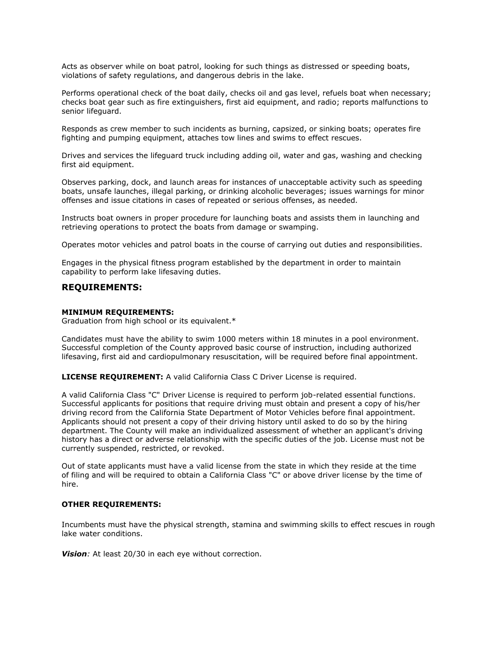Acts as observer while on boat patrol, looking for such things as distressed or speeding boats, violations of safety regulations, and dangerous debris in the lake.

Performs operational check of the boat daily, checks oil and gas level, refuels boat when necessary; checks boat gear such as fire extinguishers, first aid equipment, and radio; reports malfunctions to senior lifeguard.

Responds as crew member to such incidents as burning, capsized, or sinking boats; operates fire fighting and pumping equipment, attaches tow lines and swims to effect rescues.

Drives and services the lifeguard truck including adding oil, water and gas, washing and checking first aid equipment.

Observes parking, dock, and launch areas for instances of unacceptable activity such as speeding boats, unsafe launches, illegal parking, or drinking alcoholic beverages; issues warnings for minor offenses and issue citations in cases of repeated or serious offenses, as needed.

Instructs boat owners in proper procedure for launching boats and assists them in launching and retrieving operations to protect the boats from damage or swamping.

Operates motor vehicles and patrol boats in the course of carrying out duties and responsibilities.

Engages in the physical fitness program established by the department in order to maintain capability to perform lake lifesaving duties.

## **REQUIREMENTS:**

#### **MINIMUM REQUIREMENTS:**

Graduation from high school or its equivalent.\*

Candidates must have the ability to swim 1000 meters within 18 minutes in a pool environment. Successful completion of the County approved basic course of instruction, including authorized lifesaving, first aid and cardiopulmonary resuscitation, will be required before final appointment.

**LICENSE REQUIREMENT:** A valid California Class C Driver License is required.

A valid California Class "C" Driver License is required to perform job-related essential functions. Successful applicants for positions that require driving must obtain and present a copy of his/her driving record from the California State Department of Motor Vehicles before final appointment. Applicants should not present a copy of their driving history until asked to do so by the hiring department. The County will make an individualized assessment of whether an applicant's driving history has a direct or adverse relationship with the specific duties of the job. License must not be currently suspended, restricted, or revoked.

Out of state applicants must have a valid license from the state in which they reside at the time of filing and will be required to obtain a California Class "C" or above driver license by the time of hire.

#### **OTHER REQUIREMENTS:**

Incumbents must have the physical strength, stamina and swimming skills to effect rescues in rough lake water conditions.

*Vision:* At least 20/30 in each eye without correction.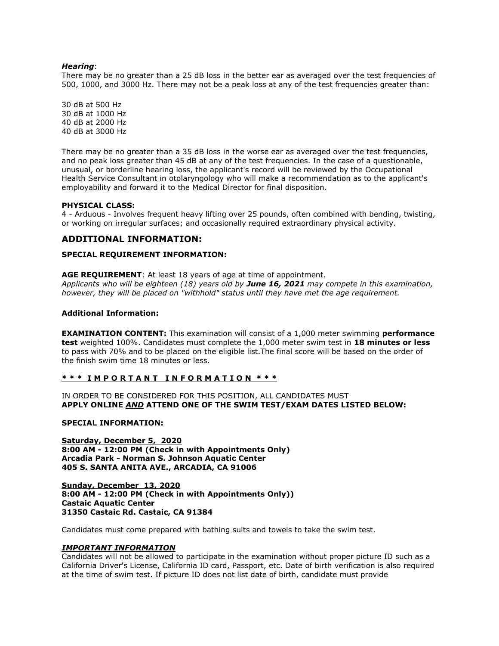#### *Hearing*:

There may be no greater than a 25 dB loss in the better ear as averaged over the test frequencies of 500, 1000, and 3000 Hz. There may not be a peak loss at any of the test frequencies greater than:

30 dB at 500 Hz 30 dB at 1000 Hz 40 dB at 2000 Hz 40 dB at 3000 Hz

There may be no greater than a 35 dB loss in the worse ear as averaged over the test frequencies, and no peak loss greater than 45 dB at any of the test frequencies. In the case of a questionable, unusual, or borderline hearing loss, the applicant's record will be reviewed by the Occupational Health Service Consultant in otolaryngology who will make a recommendation as to the applicant's employability and forward it to the Medical Director for final disposition.

#### **PHYSICAL CLASS:**

4 - Arduous - Involves frequent heavy lifting over 25 pounds, often combined with bending, twisting, or working on irregular surfaces; and occasionally required extraordinary physical activity.

## **ADDITIONAL INFORMATION:**

#### **SPECIAL REQUIREMENT INFORMATION:**

**AGE REQUIREMENT**: At least 18 years of age at time of appointment. *Applicants who will be eighteen (18) years old by June 16, 2021 may compete in this examination, however, they will be placed on "withhold" status until they have met the age requirement.*

#### **Additional Information:**

**EXAMINATION CONTENT:** This examination will consist of a 1,000 meter swimming **performance test** weighted 100%. Candidates must complete the 1,000 meter swim test in **18 minutes or less**  to pass with 70% and to be placed on the eligible list.The final score will be based on the order of the finish swim time 18 minutes or less.

## **\* \* \* I M P O R T A N T I N F O R M A T I O N \* \* \***

IN ORDER TO BE CONSIDERED FOR THIS POSITION, ALL CANDIDATES MUST **APPLY ONLINE** *AND* **ATTEND ONE OF THE SWIM TEST/EXAM DATES LISTED BELOW:**

#### **SPECIAL INFORMATION:**

**Saturday, December 5, 2020 8:00 AM - 12:00 PM (Check in with Appointments Only) Arcadia Park - Norman S. Johnson Aquatic Center 405 S. SANTA ANITA AVE., ARCADIA, CA 91006**

**Sunday, December 13, 2020 8:00 AM - 12:00 PM (Check in with Appointments Only)) Castaic Aquatic Center 31350 Castaic Rd. Castaic, CA 91384** 

Candidates must come prepared with bathing suits and towels to take the swim test.

#### *IMPORTANT INFORMATION*

Candidates will not be allowed to participate in the examination without proper picture ID such as a California Driver's License, California ID card, Passport, etc. Date of birth verification is also required at the time of swim test. If picture ID does not list date of birth, candidate must provide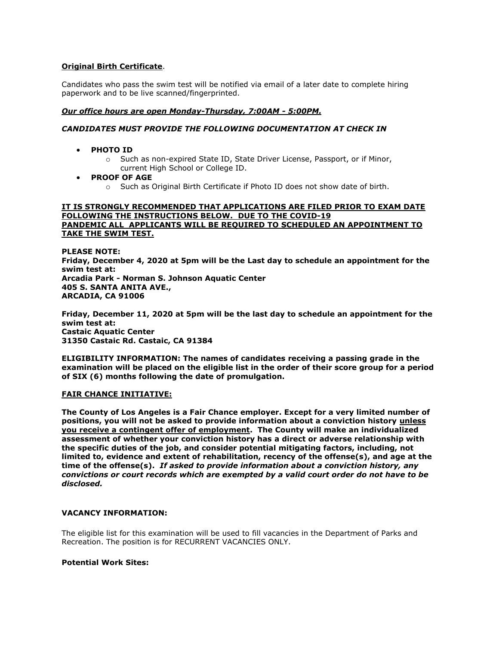## **Original Birth Certificate**.

Candidates who pass the swim test will be notified via email of a later date to complete hiring paperwork and to be live scanned/fingerprinted.

## *Our office hours are open Monday-Thursday, 7:00AM - 5:00PM.*

## *CANDIDATES MUST PROVIDE THE FOLLOWING DOCUMENTATION AT CHECK IN*

- **PHOTO ID**
	- o Such as non-expired State ID, State Driver License, Passport, or if Minor, current High School or College ID.
- **PROOF OF AGE**
	- o Such as Original Birth Certificate if Photo ID does not show date of birth.

## **IT IS STRONGLY RECOMMENDED THAT APPLICATIONS ARE FILED PRIOR TO EXAM DATE FOLLOWING THE INSTRUCTIONS BELOW. DUE TO THE COVID-19 PANDEMIC ALL APPLICANTS WILL BE REQUIRED TO SCHEDULED AN APPOINTMENT TO TAKE THE SWIM TEST.**

**PLEASE NOTE: Friday, December 4, 2020 at 5pm will be the Last day to schedule an appointment for the swim test at: Arcadia Park - Norman S. Johnson Aquatic Center 405 S. SANTA ANITA AVE., ARCADIA, CA 91006**

**Friday, December 11, 2020 at 5pm will be the last day to schedule an appointment for the swim test at: Castaic Aquatic Center 31350 Castaic Rd. Castaic, CA 91384**

**ELIGIBILITY INFORMATION: The names of candidates receiving a passing grade in the examination will be placed on the eligible list in the order of their score group for a period of SIX (6) months following the date of promulgation.**

## **FAIR CHANCE INITIATIVE:**

**The County of Los Angeles is a Fair Chance employer. Except for a very limited number of positions, you will not be asked to provide information about a conviction history unless you receive a contingent offer of employment. The County will make an individualized assessment of whether your conviction history has a direct or adverse relationship with the specific duties of the job, and consider potential mitigating factors, including, not limited to, evidence and extent of rehabilitation, recency of the offense(s), and age at the time of the offense(s).** *If asked to provide information about a conviction history, any convictions or court records which are exempted by a valid court order do not have to be disclosed.*

## **VACANCY INFORMATION:**

The eligible list for this examination will be used to fill vacancies in the Department of Parks and Recreation. The position is for RECURRENT VACANCIES ONLY.

## **Potential Work Sites:**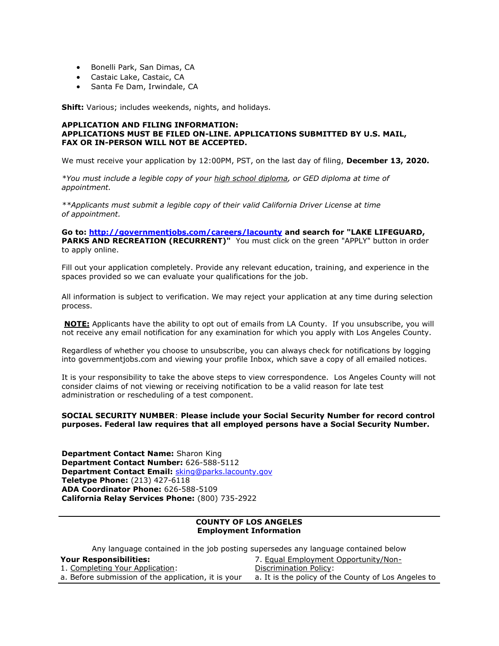- Bonelli Park, San Dimas, CA
- Castaic Lake, Castaic, CA
- Santa Fe Dam, Irwindale, CA

**Shift:** Various; includes weekends, nights, and holidays.

#### **APPLICATION AND FILING INFORMATION: APPLICATIONS MUST BE FILED ON-LINE. APPLICATIONS SUBMITTED BY U.S. MAIL, FAX OR IN-PERSON WILL NOT BE ACCEPTED.**

We must receive your application by 12:00PM, PST, on the last day of filing, **December 13, 2020.**

*\*You must include a legible copy of your high school diploma, or GED diploma at time of appointment.*

*\*\*Applicants must submit a legible copy of their valid California Driver License at time of appointment.*

**Go to:<http://governmentjobs.com/careers/lacounty> and search for "LAKE LIFEGUARD, PARKS AND RECREATION (RECURRENT)"** You must click on the green "APPLY" button in order to apply online.

Fill out your application completely. Provide any relevant education, training, and experience in the spaces provided so we can evaluate your qualifications for the job.

All information is subject to verification. We may reject your application at any time during selection process.

**NOTE:** Applicants have the ability to opt out of emails from LA County. If you unsubscribe, you will not receive any email notification for any examination for which you apply with Los Angeles County.

Regardless of whether you choose to unsubscribe, you can always check for notifications by logging into governmentjobs.com and viewing your profile Inbox, which save a copy of all emailed notices.

It is your responsibility to take the above steps to view correspondence. Los Angeles County will not consider claims of not viewing or receiving notification to be a valid reason for late test administration or rescheduling of a test component.

#### **SOCIAL SECURITY NUMBER**: **Please include your Social Security Number for record control purposes. Federal law requires that all employed persons have a Social Security Number.**

**Department Contact Name:** Sharon King **Department Contact Number:** 626-588-5112 **Department Contact Email:** [sking](mailto:sking@parks.lacounty.gov)[@parks.lacounty.gov](mailto:sking@parks.lacouny.gov) **Teletype Phone:** (213) 427-6118 **ADA Coordinator Phone:** 626-588-5109 **California Relay Services Phone:** (800) 735-2922

#### **COUNTY OF LOS ANGELES Employment Information**

Any language contained in the job posting supersedes any language contained below

| <b>Your Responsibilities:</b>                       | 7. Equal Employment Opportunity/Non-                |
|-----------------------------------------------------|-----------------------------------------------------|
| 1. Completing Your Application:                     | Discrimination Policy:                              |
| a. Before submission of the application, it is your | a. It is the policy of the County of Los Angeles to |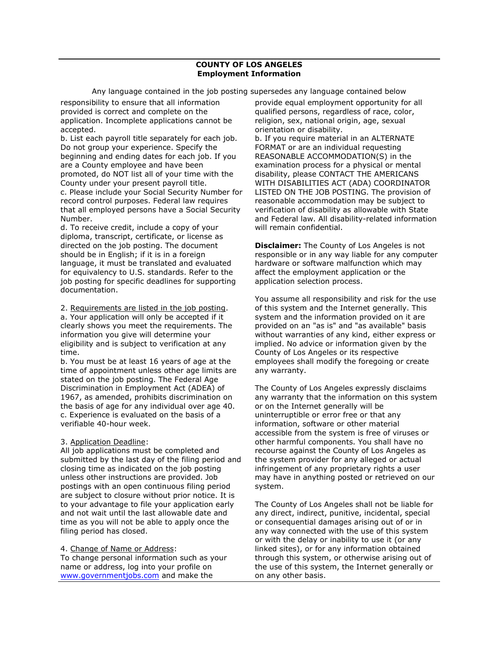Any language contained in the job posting supersedes any language contained below

responsibility to ensure that all information provided is correct and complete on the application. Incomplete applications cannot be accepted.

b. List each payroll title separately for each job. Do not group your experience. Specify the beginning and ending dates for each job. If you are a County employee and have been promoted, do NOT list all of your time with the County under your present payroll title. c. Please include your Social Security Number for record control purposes. Federal law requires that all employed persons have a Social Security Number.

d. To receive credit, include a copy of your diploma, transcript, certificate, or license as directed on the job posting. The document should be in English; if it is in a foreign language, it must be translated and evaluated for equivalency to U.S. standards. Refer to the job posting for specific deadlines for supporting documentation.

2. Requirements are listed in the job posting.

a. Your application will only be accepted if it clearly shows you meet the requirements. The information you give will determine your eligibility and is subject to verification at any time.

b. You must be at least 16 years of age at the time of appointment unless other age limits are stated on the job posting. The Federal Age Discrimination in Employment Act (ADEA) of 1967, as amended, prohibits discrimination on the basis of age for any individual over age 40. c. Experience is evaluated on the basis of a verifiable 40-hour week.

## 3. Application Deadline:

All job applications must be completed and submitted by the last day of the filing period and closing time as indicated on the job posting unless other instructions are provided. Job postings with an open continuous filing period are subject to closure without prior notice. It is to your advantage to file your application early and not wait until the last allowable date and time as you will not be able to apply once the filing period has closed.

## 4. Change of Name or Address:

To change personal information such as your name or address, log into your profile on [www.governmentjobs.com](http://agency.governmentjobs.com/lacounty/www.governmentjobs.com) and make the

provide equal employment opportunity for all qualified persons, regardless of race, color, religion, sex, national origin, age, sexual orientation or disability.

b. If you require material in an ALTERNATE FORMAT or are an individual requesting REASONABLE ACCOMMODATION(S) in the examination process for a physical or mental disability, please CONTACT THE AMERICANS WITH DISABILITIES ACT (ADA) COORDINATOR LISTED ON THE JOB POSTING. The provision of reasonable accommodation may be subject to verification of disability as allowable with State and Federal law. All disability-related information will remain confidential.

**Disclaimer:** The County of Los Angeles is not responsible or in any way liable for any computer hardware or software malfunction which may affect the employment application or the application selection process.

You assume all responsibility and risk for the use of this system and the Internet generally. This system and the information provided on it are provided on an "as is" and "as available" basis without warranties of any kind, either express or implied. No advice or information given by the County of Los Angeles or its respective employees shall modify the foregoing or create any warranty.

The County of Los Angeles expressly disclaims any warranty that the information on this system or on the Internet generally will be uninterruptible or error free or that any information, software or other material accessible from the system is free of viruses or other harmful components. You shall have no recourse against the County of Los Angeles as the system provider for any alleged or actual infringement of any proprietary rights a user may have in anything posted or retrieved on our system.

The County of Los Angeles shall not be liable for any direct, indirect, punitive, incidental, special or consequential damages arising out of or in any way connected with the use of this system or with the delay or inability to use it (or any linked sites), or for any information obtained through this system, or otherwise arising out of the use of this system, the Internet generally or on any other basis.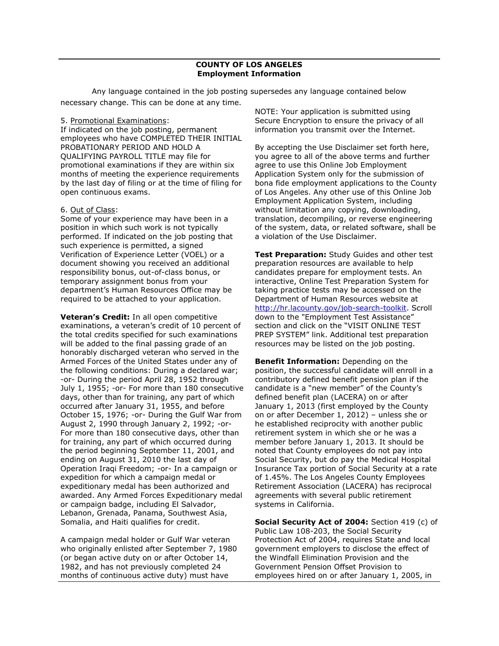Any language contained in the job posting supersedes any language contained below necessary change. This can be done at any time.

#### 5. Promotional Examinations:

If indicated on the job posting, permanent employees who have COMPLETED THEIR INITIAL PROBATIONARY PERIOD AND HOLD A QUALIFYING PAYROLL TITLE may file for promotional examinations if they are within six months of meeting the experience requirements by the last day of filing or at the time of filing for open continuous exams.

#### 6. Out of Class:

Some of your experience may have been in a position in which such work is not typically performed. If indicated on the job posting that such experience is permitted, a signed Verification of Experience Letter (VOEL) or a document showing you received an additional responsibility bonus, out-of-class bonus, or temporary assignment bonus from your department's Human Resources Office may be required to be attached to your application.

**Veteran's Credit:** In all open competitive examinations, a veteran's credit of 10 percent of the total credits specified for such examinations will be added to the final passing grade of an honorably discharged veteran who served in the Armed Forces of the United States under any of the following conditions: During a declared war; -or- During the period April 28, 1952 through July 1, 1955; -or- For more than 180 consecutive days, other than for training, any part of which occurred after January 31, 1955, and before October 15, 1976; -or- During the Gulf War from August 2, 1990 through January 2, 1992; -or-For more than 180 consecutive days, other than for training, any part of which occurred during the period beginning September 11, 2001, and ending on August 31, 2010 the last day of Operation Iraqi Freedom; -or- In a campaign or expedition for which a campaign medal or expeditionary medal has been authorized and awarded. Any Armed Forces Expeditionary medal or campaign badge, including El Salvador, Lebanon, Grenada, Panama, Southwest Asia, Somalia, and Haiti qualifies for credit.

A campaign medal holder or Gulf War veteran who originally enlisted after September 7, 1980 (or began active duty on or after October 14, 1982, and has not previously completed 24 months of continuous active duty) must have

NOTE: Your application is submitted using Secure Encryption to ensure the privacy of all information you transmit over the Internet.

By accepting the Use Disclaimer set forth here, you agree to all of the above terms and further agree to use this Online Job Employment Application System only for the submission of bona fide employment applications to the County of Los Angeles. Any other use of this Online Job Employment Application System, including without limitation any copying, downloading, translation, decompiling, or reverse engineering of the system, data, or related software, shall be a violation of the Use Disclaimer.

**Test Preparation:** Study Guides and other test preparation resources are available to help candidates prepare for employment tests. An interactive, Online Test Preparation System for taking practice tests may be accessed on the Department of Human Resources website at [http://hr.lacounty.gov/job-search-toolkit.](http://hr.lacounty.gov/job-search-toolkit) Scroll down to the "Employment Test Assistance" section and click on the "VISIT ONLINE TEST PREP SYSTEM" link. Additional test preparation resources may be listed on the job posting.

**Benefit Information:** Depending on the position, the successful candidate will enroll in a contributory defined benefit pension plan if the candidate is a "new member" of the County's defined benefit plan (LACERA) on or after January 1, 2013 (first employed by the County on or after December 1, 2012) – unless she or he established reciprocity with another public retirement system in which she or he was a member before January 1, 2013. It should be noted that County employees do not pay into Social Security, but do pay the Medical Hospital Insurance Tax portion of Social Security at a rate of 1.45%. The Los Angeles County Employees Retirement Association (LACERA) has reciprocal agreements with several public retirement systems in California.

**Social Security Act of 2004:** Section 419 (c) of Public Law 108-203, the Social Security Protection Act of 2004, requires State and local government employers to disclose the effect of the Windfall Elimination Provision and the Government Pension Offset Provision to employees hired on or after January 1, 2005, in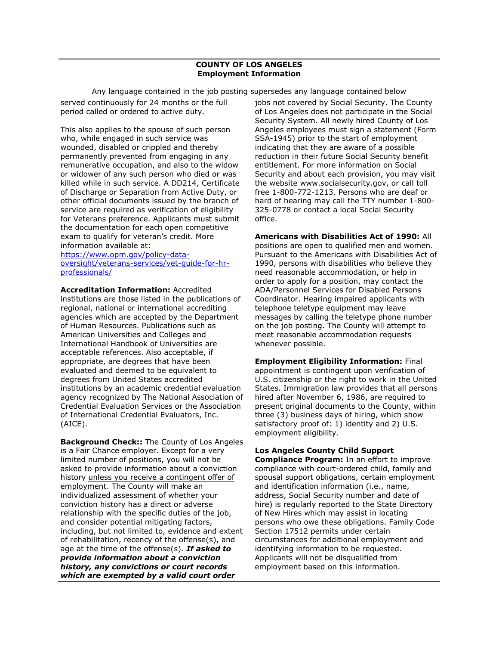Any language contained in the job posting supersedes any language contained below served continuously for 24 months or the full period called or ordered to active duty.

This also applies to the spouse of such person who, while engaged in such service was wounded, disabled or crippled and thereby permanently prevented from engaging in any remunerative occupation, and also to the widow or widower of any such person who died or was killed while in such service. A DD214, Certificate of Discharge or Separation from Active Duty, or other official documents issued by the branch of service are required as verification of eligibility for Veterans preference. Applicants must submit the documentation for each open competitive exam to qualify for veteran's credit. More information available at:

[https://www.opm.gov/policy-data](https://www.opm.gov/policy-data-oversight/veterans-services/vet-guide-for-hr-professionals/)[oversight/veterans-services/vet-guide-for-hr](https://www.opm.gov/policy-data-oversight/veterans-services/vet-guide-for-hr-professionals/)[professionals/](https://www.opm.gov/policy-data-oversight/veterans-services/vet-guide-for-hr-professionals/)

**Accreditation Information:** Accredited institutions are those listed in the publications of regional, national or international accrediting agencies which are accepted by the Department of Human Resources. Publications such as American Universities and Colleges and International Handbook of Universities are acceptable references. Also acceptable, if appropriate, are degrees that have been evaluated and deemed to be equivalent to degrees from United States accredited institutions by an academic credential evaluation agency recognized by The National Association of Credential Evaluation Services or the Association of International Credential Evaluators, Inc. (AICE).

**Background Check::** The County of Los Angeles is a Fair Chance employer. Except for a very limited number of positions, you will not be asked to provide information about a conviction history unless you receive a contingent offer of employment. The County will make an individualized assessment of whether your conviction history has a direct or adverse relationship with the specific duties of the job, and consider potential mitigating factors, including, but not limited to, evidence and extent of rehabilitation, recency of the offense(s), and age at the time of the offense(s). *If asked to provide information about a conviction history, any convictions or court records which are exempted by a valid court order* 

jobs not covered by Social Security. The County of Los Angeles does not participate in the Social Security System. All newly hired County of Los Angeles employees must sign a statement (Form SSA-1945) prior to the start of employment indicating that they are aware of a possible reduction in their future Social Security benefit entitlement. For more information on Social Security and about each provision, you may visit the website www.socialsecurity.gov, or call toll free 1-800-772-1213. Persons who are deaf or hard of hearing may call the TTY number 1-800- 325-0778 or contact a local Social Security office.

**Americans with Disabilities Act of 1990:** All positions are open to qualified men and women. Pursuant to the Americans with Disabilities Act of 1990, persons with disabilities who believe they need reasonable accommodation, or help in order to apply for a position, may contact the ADA/Personnel Services for Disabled Persons Coordinator. Hearing impaired applicants with telephone teletype equipment may leave messages by calling the teletype phone number on the job posting. The County will attempt to meet reasonable accommodation requests whenever possible.

**Employment Eligibility Information:** Final appointment is contingent upon verification of U.S. citizenship or the right to work in the United States. Immigration law provides that all persons hired after November 6, 1986, are required to present original documents to the County, within three (3) business days of hiring, which show satisfactory proof of: 1) identity and 2) U.S. employment eligibility.

## **Los Angeles County Child Support**

**Compliance Program:** In an effort to improve compliance with court-ordered child, family and spousal support obligations, certain employment and identification information (i.e., name, address, Social Security number and date of hire) is regularly reported to the State Directory of New Hires which may assist in locating persons who owe these obligations. Family Code Section 17512 permits under certain circumstances for additional employment and identifying information to be requested. Applicants will not be disqualified from employment based on this information.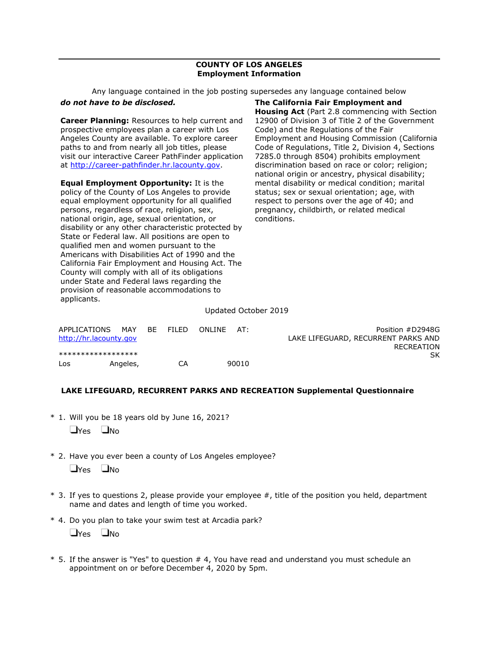Any language contained in the job posting supersedes any language contained below

## *do not have to be disclosed.*

**Career Planning:** Resources to help current and prospective employees plan a career with Los Angeles County are available. To explore career paths to and from nearly all job titles, please visit our interactive Career PathFinder application at [http://career-pathfinder.hr.lacounty.gov.](http://career-pathfinder.hr.lacounty.gov/)

**Equal Employment Opportunity:** It is the policy of the County of Los Angeles to provide equal employment opportunity for all qualified persons, regardless of race, religion, sex, national origin, age, sexual orientation, or disability or any other characteristic protected by State or Federal law. All positions are open to qualified men and women pursuant to the Americans with Disabilities Act of 1990 and the California Fair Employment and Housing Act. The County will comply with all of its obligations under State and Federal laws regarding the provision of reasonable accommodations to applicants.

**The California Fair Employment and Housing Act** (Part 2.8 commencing with Section 12900 of Division 3 of Title 2 of the Government Code) and the Regulations of the Fair Employment and Housing Commission (California Code of Regulations, Title 2, Division 4, Sections 7285.0 through 8504) prohibits employment discrimination based on race or color; religion; national origin or ancestry, physical disability; mental disability or medical condition; marital status; sex or sexual orientation; age, with respect to persons over the age of 40; and pregnancy, childbirth, or related medical conditions.

#### Updated October 2019

| APPLICATIONS<br>http://hr.lacounty.gov | MAY      | <b>BF</b> | FILED. | ONI INF | AT:   | Position #D2948G<br>LAKE LIFEGUARD, RECURRENT PARKS AND |
|----------------------------------------|----------|-----------|--------|---------|-------|---------------------------------------------------------|
| *******************                    |          |           |        |         |       | RECREATION<br>SK.                                       |
| Los                                    | Angeles, |           | CA     |         | 90010 |                                                         |

## **LAKE LIFEGUARD, RECURRENT PARKS AND RECREATION Supplemental Questionnaire**

- \* 1. Will you be 18 years old by June 16, 2021?  $\Box$ Yes  $\Box$ No
- \* 2. Have you ever been a county of Los Angeles employee?  $\Box$ Yes  $\Box$ No
- $*$  3. If yes to questions 2, please provide your employee  $#$ , title of the position you held, department name and dates and length of time you worked.
- \* 4. Do you plan to take your swim test at Arcadia park?

 $\Box$ Yes  $\Box$ No

\* 5. If the answer is "Yes" to question # 4, You have read and understand you must schedule an appointment on or before December 4, 2020 by 5pm.